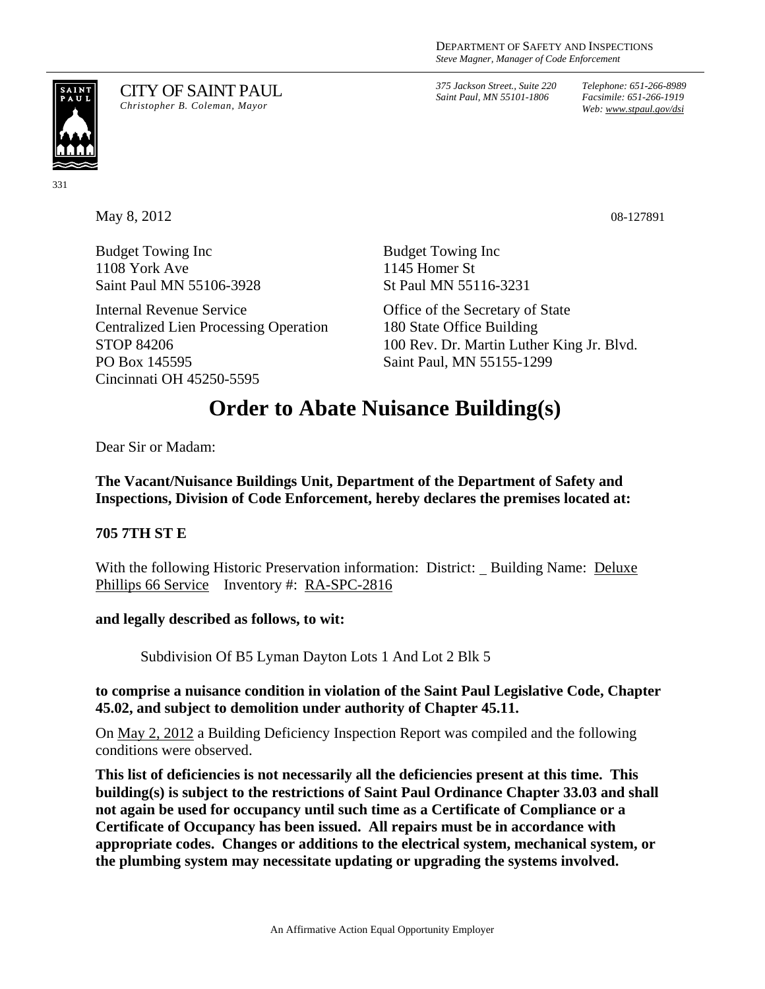DEPARTMENT OF SAFETY AND INSPECTIONS *Steve Magner, Manager of Code Enforcement* 

*375 Jackson Street., Suite 220 Saint Paul, MN 55101-1806*

*Telephone: 651-266-8989 Facsimile: 651-266-1919 Web: www.stpaul.gov/dsi*

SAINT<br>PAUL

CITY OF SAINT PAUL *Christopher B. Coleman, Mayor* 

331

May 8, 2012 08-127891

Budget Towing Inc 1108 York Ave Saint Paul MN 55106-3928

Internal Revenue Service Centralized Lien Processing Operation STOP 84206 PO Box 145595 Cincinnati OH 45250-5595

Budget Towing Inc 1145 Homer St St Paul MN 55116-3231

Office of the Secretary of State 180 State Office Building 100 Rev. Dr. Martin Luther King Jr. Blvd. Saint Paul, MN 55155-1299

## **Order to Abate Nuisance Building(s)**

Dear Sir or Madam:

**The Vacant/Nuisance Buildings Unit, Department of the Department of Safety and Inspections, Division of Code Enforcement, hereby declares the premises located at:** 

## **705 7TH ST E**

With the following Historic Preservation information: District: Building Name: Deluxe Phillips 66 Service Inventory #: RA-SPC-2816

**and legally described as follows, to wit:** 

Subdivision Of B5 Lyman Dayton Lots 1 And Lot 2 Blk 5

**to comprise a nuisance condition in violation of the Saint Paul Legislative Code, Chapter 45.02, and subject to demolition under authority of Chapter 45.11.** 

On May 2, 2012 a Building Deficiency Inspection Report was compiled and the following conditions were observed.

**This list of deficiencies is not necessarily all the deficiencies present at this time. This building(s) is subject to the restrictions of Saint Paul Ordinance Chapter 33.03 and shall not again be used for occupancy until such time as a Certificate of Compliance or a Certificate of Occupancy has been issued. All repairs must be in accordance with appropriate codes. Changes or additions to the electrical system, mechanical system, or the plumbing system may necessitate updating or upgrading the systems involved.** 

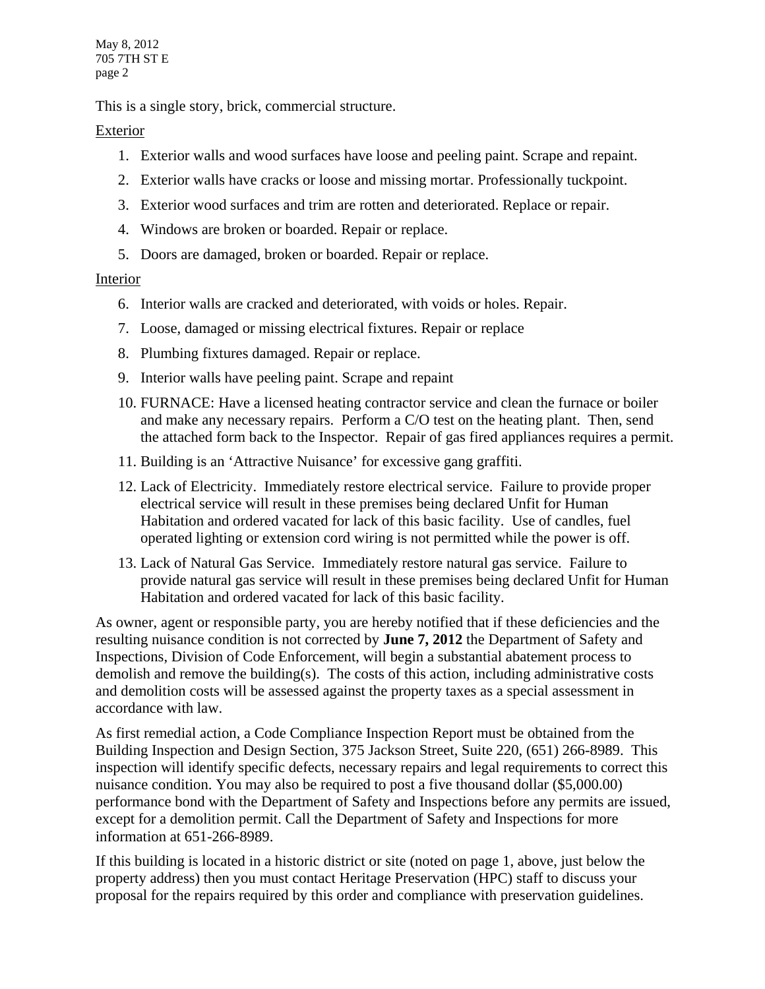May 8, 2012 705 7TH ST E page 2

This is a single story, brick, commercial structure.

## Exterior

- 1. Exterior walls and wood surfaces have loose and peeling paint. Scrape and repaint.
- 2. Exterior walls have cracks or loose and missing mortar. Professionally tuckpoint.
- 3. Exterior wood surfaces and trim are rotten and deteriorated. Replace or repair.
- 4. Windows are broken or boarded. Repair or replace.
- 5. Doors are damaged, broken or boarded. Repair or replace.

## Interior

- 6. Interior walls are cracked and deteriorated, with voids or holes. Repair.
- 7. Loose, damaged or missing electrical fixtures. Repair or replace
- 8. Plumbing fixtures damaged. Repair or replace.
- 9. Interior walls have peeling paint. Scrape and repaint
- 10. FURNACE: Have a licensed heating contractor service and clean the furnace or boiler and make any necessary repairs. Perform a C/O test on the heating plant. Then, send the attached form back to the Inspector. Repair of gas fired appliances requires a permit.
- 11. Building is an 'Attractive Nuisance' for excessive gang graffiti.
- 12. Lack of Electricity. Immediately restore electrical service. Failure to provide proper electrical service will result in these premises being declared Unfit for Human Habitation and ordered vacated for lack of this basic facility. Use of candles, fuel operated lighting or extension cord wiring is not permitted while the power is off.
- 13. Lack of Natural Gas Service. Immediately restore natural gas service. Failure to provide natural gas service will result in these premises being declared Unfit for Human Habitation and ordered vacated for lack of this basic facility.

As owner, agent or responsible party, you are hereby notified that if these deficiencies and the resulting nuisance condition is not corrected by **June 7, 2012** the Department of Safety and Inspections, Division of Code Enforcement, will begin a substantial abatement process to demolish and remove the building(s). The costs of this action, including administrative costs and demolition costs will be assessed against the property taxes as a special assessment in accordance with law.

As first remedial action, a Code Compliance Inspection Report must be obtained from the Building Inspection and Design Section, 375 Jackson Street, Suite 220, (651) 266-8989. This inspection will identify specific defects, necessary repairs and legal requirements to correct this nuisance condition. You may also be required to post a five thousand dollar (\$5,000.00) performance bond with the Department of Safety and Inspections before any permits are issued, except for a demolition permit. Call the Department of Safety and Inspections for more information at 651-266-8989.

If this building is located in a historic district or site (noted on page 1, above, just below the property address) then you must contact Heritage Preservation (HPC) staff to discuss your proposal for the repairs required by this order and compliance with preservation guidelines.